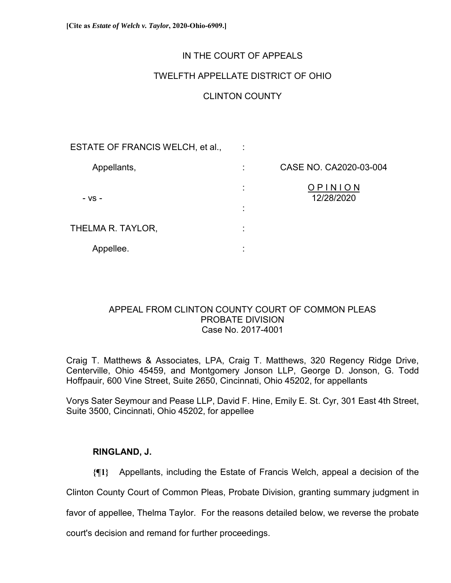## IN THE COURT OF APPEALS

## TWELFTH APPELLATE DISTRICT OF OHIO

# CLINTON COUNTY

| ESTATE OF FRANCIS WELCH, et al., |                   |                        |
|----------------------------------|-------------------|------------------------|
| Appellants,                      |                   | CASE NO. CA2020-03-004 |
| - VS -                           | ٠<br>$\mathbf{r}$ | OPINION<br>12/28/2020  |
|                                  | ٠                 |                        |
| THELMA R. TAYLOR,                | ٠                 |                        |
| Appellee.                        | ٠                 |                        |

## APPEAL FROM CLINTON COUNTY COURT OF COMMON PLEAS PROBATE DIVISION Case No. 2017-4001

Craig T. Matthews & Associates, LPA, Craig T. Matthews, 320 Regency Ridge Drive, Centerville, Ohio 45459, and Montgomery Jonson LLP, George D. Jonson, G. Todd Hoffpauir, 600 Vine Street, Suite 2650, Cincinnati, Ohio 45202, for appellants

Vorys Sater Seymour and Pease LLP, David F. Hine, Emily E. St. Cyr, 301 East 4th Street, Suite 3500, Cincinnati, Ohio 45202, for appellee

### **RINGLAND, J.**

**{¶1}** Appellants, including the Estate of Francis Welch, appeal a decision of the

Clinton County Court of Common Pleas, Probate Division, granting summary judgment in

favor of appellee, Thelma Taylor. For the reasons detailed below, we reverse the probate

court's decision and remand for further proceedings.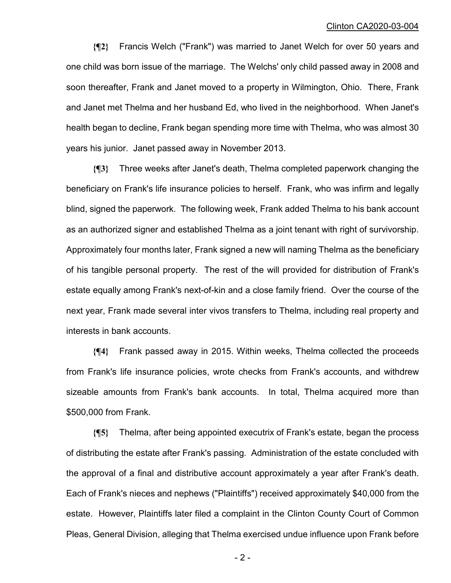**{¶2}** Francis Welch ("Frank") was married to Janet Welch for over 50 years and one child was born issue of the marriage. The Welchs' only child passed away in 2008 and soon thereafter, Frank and Janet moved to a property in Wilmington, Ohio. There, Frank and Janet met Thelma and her husband Ed, who lived in the neighborhood. When Janet's health began to decline, Frank began spending more time with Thelma, who was almost 30 years his junior. Janet passed away in November 2013.

**{¶3}** Three weeks after Janet's death, Thelma completed paperwork changing the beneficiary on Frank's life insurance policies to herself. Frank, who was infirm and legally blind, signed the paperwork. The following week, Frank added Thelma to his bank account as an authorized signer and established Thelma as a joint tenant with right of survivorship. Approximately four months later, Frank signed a new will naming Thelma as the beneficiary of his tangible personal property. The rest of the will provided for distribution of Frank's estate equally among Frank's next-of-kin and a close family friend. Over the course of the next year, Frank made several inter vivos transfers to Thelma, including real property and interests in bank accounts.

**{¶4}** Frank passed away in 2015. Within weeks, Thelma collected the proceeds from Frank's life insurance policies, wrote checks from Frank's accounts, and withdrew sizeable amounts from Frank's bank accounts. In total, Thelma acquired more than \$500,000 from Frank.

**{¶5}** Thelma, after being appointed executrix of Frank's estate, began the process of distributing the estate after Frank's passing. Administration of the estate concluded with the approval of a final and distributive account approximately a year after Frank's death. Each of Frank's nieces and nephews ("Plaintiffs") received approximately \$40,000 from the estate. However, Plaintiffs later filed a complaint in the Clinton County Court of Common Pleas, General Division, alleging that Thelma exercised undue influence upon Frank before

 $-2-$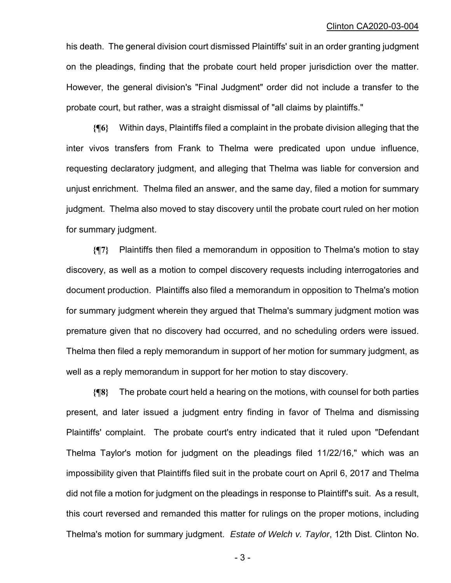his death. The general division court dismissed Plaintiffs' suit in an order granting judgment on the pleadings, finding that the probate court held proper jurisdiction over the matter. However, the general division's "Final Judgment" order did not include a transfer to the probate court, but rather, was a straight dismissal of "all claims by plaintiffs."

**{¶6}** Within days, Plaintiffs filed a complaint in the probate division alleging that the inter vivos transfers from Frank to Thelma were predicated upon undue influence, requesting declaratory judgment, and alleging that Thelma was liable for conversion and unjust enrichment. Thelma filed an answer, and the same day, filed a motion for summary judgment. Thelma also moved to stay discovery until the probate court ruled on her motion for summary judgment.

**{¶7}** Plaintiffs then filed a memorandum in opposition to Thelma's motion to stay discovery, as well as a motion to compel discovery requests including interrogatories and document production. Plaintiffs also filed a memorandum in opposition to Thelma's motion for summary judgment wherein they argued that Thelma's summary judgment motion was premature given that no discovery had occurred, and no scheduling orders were issued. Thelma then filed a reply memorandum in support of her motion for summary judgment, as well as a reply memorandum in support for her motion to stay discovery.

**{¶8}** The probate court held a hearing on the motions, with counsel for both parties present, and later issued a judgment entry finding in favor of Thelma and dismissing Plaintiffs' complaint. The probate court's entry indicated that it ruled upon "Defendant Thelma Taylor's motion for judgment on the pleadings filed 11/22/16," which was an impossibility given that Plaintiffs filed suit in the probate court on April 6, 2017 and Thelma did not file a motion for judgment on the pleadings in response to Plaintiff's suit. As a result, this court reversed and remanded this matter for rulings on the proper motions, including Thelma's motion for summary judgment. *Estate of Welch v. Taylor*, 12th Dist. Clinton No.

- 3 -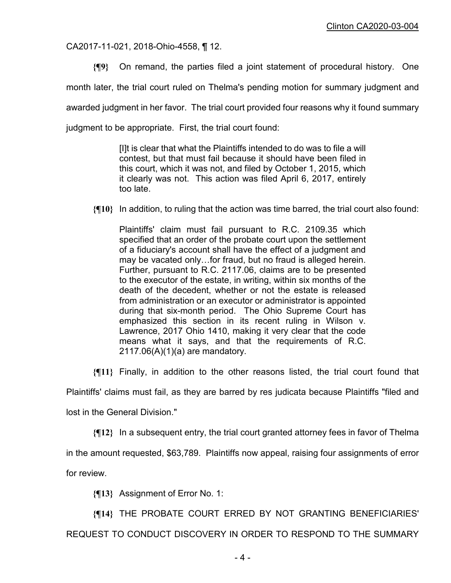CA2017-11-021, 2018-Ohio-4558, ¶ 12.

**{¶9}** On remand, the parties filed a joint statement of procedural history. One

month later, the trial court ruled on Thelma's pending motion for summary judgment and

awarded judgment in her favor. The trial court provided four reasons why it found summary

judgment to be appropriate. First, the trial court found:

[I]t is clear that what the Plaintiffs intended to do was to file a will contest, but that must fail because it should have been filed in this court, which it was not, and filed by October 1, 2015, which it clearly was not. This action was filed April 6, 2017, entirely too late.

**{¶10}** In addition, to ruling that the action was time barred, the trial court also found:

Plaintiffs' claim must fail pursuant to R.C. 2109.35 which specified that an order of the probate court upon the settlement of a fiduciary's account shall have the effect of a judgment and may be vacated only…for fraud, but no fraud is alleged herein. Further, pursuant to R.C. 2117.06, claims are to be presented to the executor of the estate, in writing, within six months of the death of the decedent, whether or not the estate is released from administration or an executor or administrator is appointed during that six-month period. The Ohio Supreme Court has emphasized this section in its recent ruling in Wilson v. Lawrence, 2017 Ohio 1410, making it very clear that the code means what it says, and that the requirements of R.C. 2117.06(A)(1)(a) are mandatory.

**{¶11}** Finally, in addition to the other reasons listed, the trial court found that

Plaintiffs' claims must fail, as they are barred by res judicata because Plaintiffs "filed and

lost in the General Division."

**{¶12}** In a subsequent entry, the trial court granted attorney fees in favor of Thelma

in the amount requested, \$63,789. Plaintiffs now appeal, raising four assignments of error

for review.

**{¶13}** Assignment of Error No. 1:

**{¶14}** THE PROBATE COURT ERRED BY NOT GRANTING BENEFICIARIES'

REQUEST TO CONDUCT DISCOVERY IN ORDER TO RESPOND TO THE SUMMARY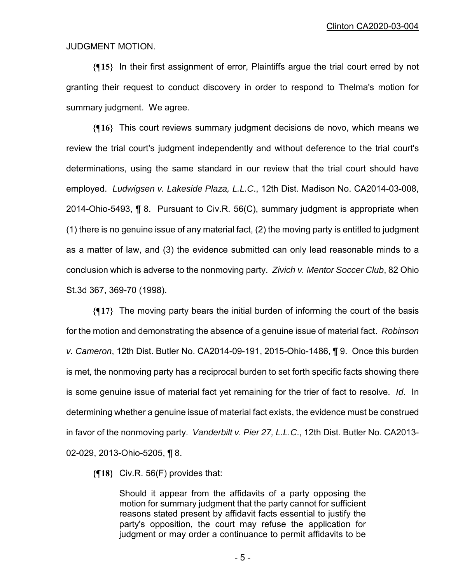#### JUDGMENT MOTION.

**{¶15}** In their first assignment of error, Plaintiffs argue the trial court erred by not granting their request to conduct discovery in order to respond to Thelma's motion for summary judgment. We agree.

**{¶16}** This court reviews summary judgment decisions de novo, which means we review the trial court's judgment independently and without deference to the trial court's determinations, using the same standard in our review that the trial court should have employed. *Ludwigsen v. Lakeside Plaza, L.L.C*., 12th Dist. Madison No. CA2014-03-008, 2014-Ohio-5493, ¶ 8. Pursuant to Civ.R. 56(C), summary judgment is appropriate when (1) there is no genuine issue of any material fact, (2) the moving party is entitled to judgment as a matter of law, and (3) the evidence submitted can only lead reasonable minds to a conclusion which is adverse to the nonmoving party. *Zivich v. Mentor Soccer Club*, 82 Ohio St.3d 367, 369-70 (1998).

**{¶17}** The moving party bears the initial burden of informing the court of the basis for the motion and demonstrating the absence of a genuine issue of material fact. *Robinson v. Cameron*, 12th Dist. Butler No. CA2014-09-191, 2015-Ohio-1486, ¶ 9. Once this burden is met, the nonmoving party has a reciprocal burden to set forth specific facts showing there is some genuine issue of material fact yet remaining for the trier of fact to resolve. *Id*. In determining whether a genuine issue of material fact exists, the evidence must be construed in favor of the nonmoving party. *Vanderbilt v. Pier 27, L.L.C*., 12th Dist. Butler No. CA2013- 02-029, 2013-Ohio-5205, ¶ 8.

**{¶18}** Civ.R. 56(F) provides that:

Should it appear from the affidavits of a party opposing the motion for summary judgment that the party cannot for sufficient reasons stated present by affidavit facts essential to justify the party's opposition, the court may refuse the application for judgment or may order a continuance to permit affidavits to be

- 5 -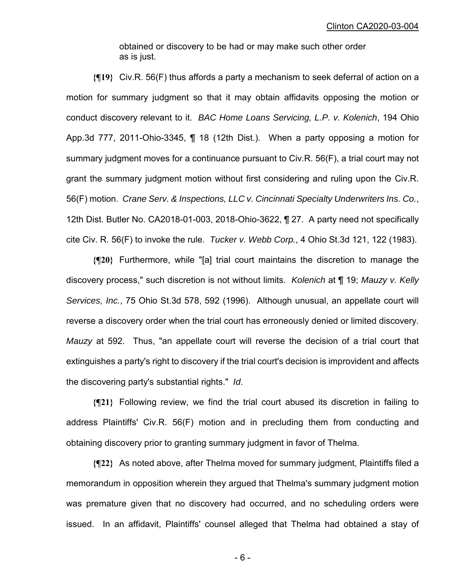obtained or discovery to be had or may make such other order as is just.

**{¶19}** Civ.R. 56(F) thus affords a party a mechanism to seek deferral of action on a motion for summary judgment so that it may obtain affidavits opposing the motion or conduct discovery relevant to it. *BAC Home Loans Servicing, L.P. v. Kolenich*, 194 Ohio App.3d 777, 2011-Ohio-3345, ¶ 18 (12th Dist.). When a party opposing a motion for summary judgment moves for a continuance pursuant to Civ.R. 56(F), a trial court may not grant the summary judgment motion without first considering and ruling upon the Civ.R. 56(F) motion. *Crane Serv. & Inspections, LLC v. Cincinnati Specialty Underwriters Ins. Co.*, 12th Dist. Butler No. CA2018-01-003, 2018-Ohio-3622, ¶ 27. A party need not specifically cite Civ. R. 56(F) to invoke the rule. *Tucker v. Webb Corp.*, 4 Ohio St.3d 121, 122 (1983).

**{¶20}** Furthermore, while "[a] trial court maintains the discretion to manage the discovery process," such discretion is not without limits. *Kolenich* at ¶ 19; *Mauzy v. Kelly Services, Inc.*, 75 Ohio St.3d 578, 592 (1996). Although unusual, an appellate court will reverse a discovery order when the trial court has erroneously denied or limited discovery. *Mauzy* at 592. Thus, "an appellate court will reverse the decision of a trial court that extinguishes a party's right to discovery if the trial court's decision is improvident and affects the discovering party's substantial rights." *Id*.

**{¶21}** Following review, we find the trial court abused its discretion in failing to address Plaintiffs' Civ.R. 56(F) motion and in precluding them from conducting and obtaining discovery prior to granting summary judgment in favor of Thelma.

**{¶22}** As noted above, after Thelma moved for summary judgment, Plaintiffs filed a memorandum in opposition wherein they argued that Thelma's summary judgment motion was premature given that no discovery had occurred, and no scheduling orders were issued. In an affidavit, Plaintiffs' counsel alleged that Thelma had obtained a stay of

- 6 -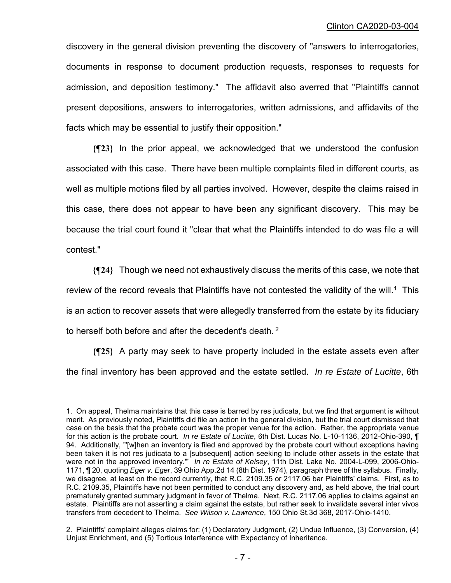discovery in the general division preventing the discovery of "answers to interrogatories, documents in response to document production requests, responses to requests for admission, and deposition testimony." The affidavit also averred that "Plaintiffs cannot present depositions, answers to interrogatories, written admissions, and affidavits of the facts which may be essential to justify their opposition."

**{¶23}** In the prior appeal, we acknowledged that we understood the confusion associated with this case. There have been multiple complaints filed in different courts, as well as multiple motions filed by all parties involved. However, despite the claims raised in this case, there does not appear to have been any significant discovery. This may be because the trial court found it "clear that what the Plaintiffs intended to do was file a will contest."

**{¶24}** Though we need not exhaustively discuss the merits of this case, we note that review of the record reveals that Plaintiffs have not contested the validity of the will.<sup>1</sup> This is an action to recover assets that were allegedly transferred from the estate by its fiduciary to herself both before and after the decedent's death. <sup>2</sup>

**{¶25}** A party may seek to have property included in the estate assets even after the final inventory has been approved and the estate settled. *In re Estate of Lucitte*, 6th

÷,

<sup>1.</sup> On appeal, Thelma maintains that this case is barred by res judicata, but we find that argument is without merit. As previously noted, Plaintiffs did file an action in the general division, but the trial court dismissed that case on the basis that the probate court was the proper venue for the action. Rather, the appropriate venue for this action is the probate court. *In re Estate of Lucitte*, 6th Dist. Lucas No. L-10-1136, 2012-Ohio-390, ¶ 94. Additionally, "'[w]hen an inventory is filed and approved by the probate court without exceptions having been taken it is not res judicata to a [subsequent] action seeking to include other assets in the estate that were not in the approved inventory.'" *In re Estate of Kelsey*, 11th Dist. Lake No. 2004-L-099, 2006-Ohio-1171, ¶ 20, quoting *Eger v. Eger*, 39 Ohio App.2d 14 (8th Dist. 1974), paragraph three of the syllabus. Finally, we disagree, at least on the record currently, that R.C. 2109.35 or 2117.06 bar Plaintiffs' claims. First, as to R.C. 2109.35, Plaintiffs have not been permitted to conduct any discovery and, as held above, the trial court prematurely granted summary judgment in favor of Thelma. Next, R.C. 2117.06 applies to claims against an estate. Plaintiffs are not asserting a claim against the estate, but rather seek to invalidate several inter vivos transfers from decedent to Thelma. *See Wilson v. Lawrence*, 150 Ohio St.3d 368, 2017-Ohio-1410.

<sup>2.</sup> Plaintiffs' complaint alleges claims for: (1) Declaratory Judgment, (2) Undue Influence, (3) Conversion, (4) Unjust Enrichment, and (5) Tortious Interference with Expectancy of Inheritance.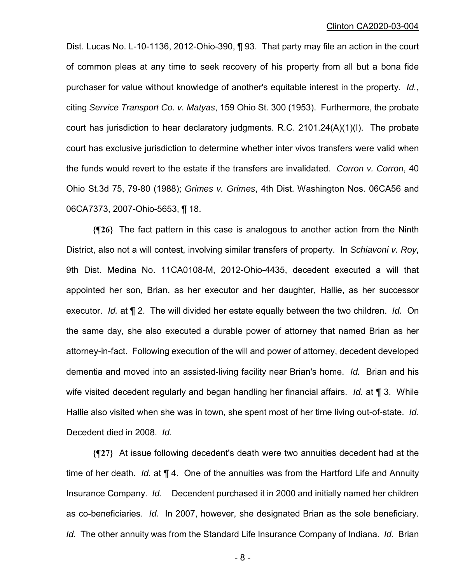Dist. Lucas No. L-10-1136, 2012-Ohio-390, ¶ 93. That party may file an action in the court of common pleas at any time to seek recovery of his property from all but a bona fide purchaser for value without knowledge of another's equitable interest in the property. *Id.*, citing *Service Transport Co. v. Matyas*, 159 Ohio St. 300 (1953). Furthermore, the probate court has jurisdiction to hear declaratory judgments. R.C. 2101.24(A)(1)(I). The probate court has exclusive jurisdiction to determine whether inter vivos transfers were valid when the funds would revert to the estate if the transfers are invalidated. *Corron v. Corron*, 40 Ohio St.3d 75, 79-80 (1988); *Grimes v. Grimes*, 4th Dist. Washington Nos. 06CA56 and 06CA7373, 2007-Ohio-5653, ¶ 18.

**{¶26}** The fact pattern in this case is analogous to another action from the Ninth District, also not a will contest, involving similar transfers of property. In *Schiavoni v. Roy*, 9th Dist. Medina No. 11CA0108-M, 2012-Ohio-4435, decedent executed a will that appointed her son, Brian, as her executor and her daughter, Hallie, as her successor executor. *Id.* at ¶ 2. The will divided her estate equally between the two children. *Id.* On the same day, she also executed a durable power of attorney that named Brian as her attorney-in-fact. Following execution of the will and power of attorney, decedent developed dementia and moved into an assisted-living facility near Brian's home. *Id.* Brian and his wife visited decedent regularly and began handling her financial affairs. *Id.* at ¶ 3. While Hallie also visited when she was in town, she spent most of her time living out-of-state. *Id.*  Decedent died in 2008. *Id.* 

**{¶27}** At issue following decedent's death were two annuities decedent had at the time of her death. *Id.* at ¶ 4. One of the annuities was from the Hartford Life and Annuity Insurance Company. *Id.* Decendent purchased it in 2000 and initially named her children as co-beneficiaries. *Id.* In 2007, however, she designated Brian as the sole beneficiary. *Id.* The other annuity was from the Standard Life Insurance Company of Indiana. *Id.* Brian

- 8 -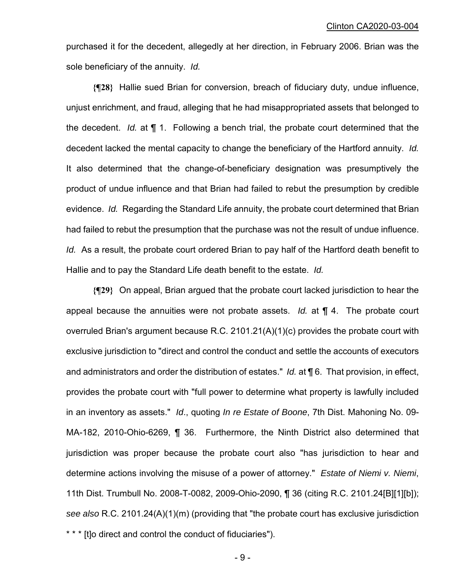purchased it for the decedent, allegedly at her direction, in February 2006. Brian was the sole beneficiary of the annuity. *Id.* 

**{¶28}** Hallie sued Brian for conversion, breach of fiduciary duty, undue influence, unjust enrichment, and fraud, alleging that he had misappropriated assets that belonged to the decedent. *Id.* at ¶ 1. Following a bench trial, the probate court determined that the decedent lacked the mental capacity to change the beneficiary of the Hartford annuity. *Id.*  It also determined that the change-of-beneficiary designation was presumptively the product of undue influence and that Brian had failed to rebut the presumption by credible evidence. *Id.* Regarding the Standard Life annuity, the probate court determined that Brian had failed to rebut the presumption that the purchase was not the result of undue influence. *Id.* As a result, the probate court ordered Brian to pay half of the Hartford death benefit to Hallie and to pay the Standard Life death benefit to the estate. *Id.* 

**{¶29}** On appeal, Brian argued that the probate court lacked jurisdiction to hear the appeal because the annuities were not probate assets. *Id.* at ¶ 4. The probate court overruled Brian's argument because R.C. 2101.21(A)(1)(c) provides the probate court with exclusive jurisdiction to "direct and control the conduct and settle the accounts of executors and administrators and order the distribution of estates." *Id.* at ¶ 6. That provision, in effect, provides the probate court with "full power to determine what property is lawfully included in an inventory as assets." *Id*., quoting *In re Estate of Boone*, 7th Dist. Mahoning No. 09- MA-182, 2010-Ohio-6269, ¶ 36. Furthermore, the Ninth District also determined that jurisdiction was proper because the probate court also "has jurisdiction to hear and determine actions involving the misuse of a power of attorney." *Estate of Niemi v. Niemi*, 11th Dist. Trumbull No. 2008-T-0082, 2009-Ohio-2090, ¶ 36 (citing R.C. 2101.24[B][1][b]); *see also* R.C. 2101.24(A)(1)(m) (providing that "the probate court has exclusive jurisdiction \* \* \* [t]o direct and control the conduct of fiduciaries").

- 9 -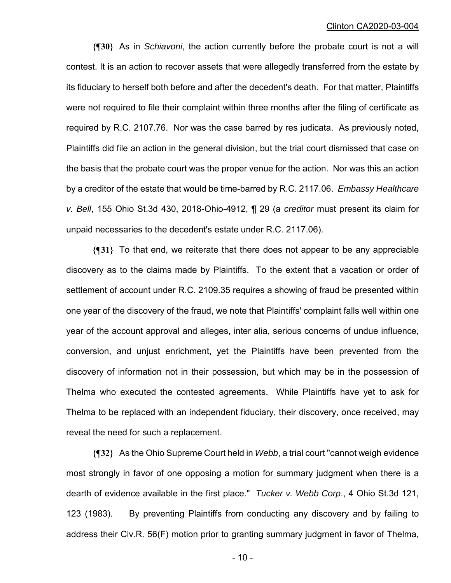**{¶30}** As in *Schiavoni*, the action currently before the probate court is not a will contest. It is an action to recover assets that were allegedly transferred from the estate by its fiduciary to herself both before and after the decedent's death. For that matter, Plaintiffs were not required to file their complaint within three months after the filing of certificate as required by R.C. 2107.76. Nor was the case barred by res judicata. As previously noted, Plaintiffs did file an action in the general division, but the trial court dismissed that case on the basis that the probate court was the proper venue for the action. Nor was this an action by a creditor of the estate that would be time-barred by R.C. 2117.06. *Embassy Healthcare v. Bell*, 155 Ohio St.3d 430, 2018-Ohio-4912, ¶ 29 (a *creditor* must present its claim for unpaid necessaries to the decedent's estate under R.C. 2117.06).

**{¶31}** To that end, we reiterate that there does not appear to be any appreciable discovery as to the claims made by Plaintiffs. To the extent that a vacation or order of settlement of account under R.C. 2109.35 requires a showing of fraud be presented within one year of the discovery of the fraud, we note that Plaintiffs' complaint falls well within one year of the account approval and alleges, inter alia, serious concerns of undue influence, conversion, and unjust enrichment, yet the Plaintiffs have been prevented from the discovery of information not in their possession, but which may be in the possession of Thelma who executed the contested agreements. While Plaintiffs have yet to ask for Thelma to be replaced with an independent fiduciary, their discovery, once received, may reveal the need for such a replacement.

**{¶32}** As the Ohio Supreme Court held in *Webb*, a trial court "cannot weigh evidence most strongly in favor of one opposing a motion for summary judgment when there is a dearth of evidence available in the first place." *Tucker v. Webb Corp*., 4 Ohio St.3d 121, 123 (1983). By preventing Plaintiffs from conducting any discovery and by failing to address their Civ.R. 56(F) motion prior to granting summary judgment in favor of Thelma,

- 10 -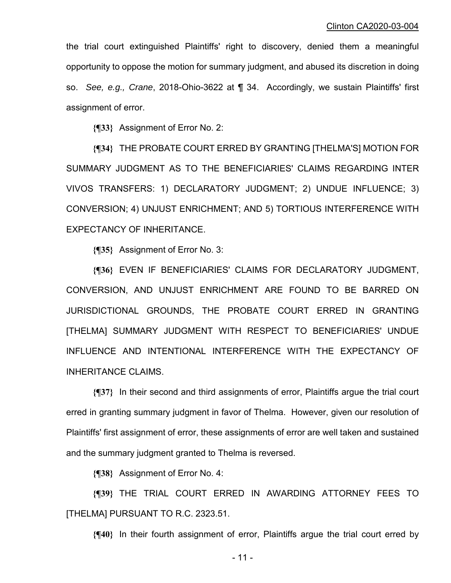the trial court extinguished Plaintiffs' right to discovery, denied them a meaningful opportunity to oppose the motion for summary judgment, and abused its discretion in doing so. *See, e.g., Crane*, 2018-Ohio-3622 at ¶ 34. Accordingly, we sustain Plaintiffs' first assignment of error.

**{¶33}** Assignment of Error No. 2:

**{¶34}** THE PROBATE COURT ERRED BY GRANTING [THELMA'S] MOTION FOR SUMMARY JUDGMENT AS TO THE BENEFICIARIES' CLAIMS REGARDING INTER VIVOS TRANSFERS: 1) DECLARATORY JUDGMENT; 2) UNDUE INFLUENCE; 3) CONVERSION; 4) UNJUST ENRICHMENT; AND 5) TORTIOUS INTERFERENCE WITH EXPECTANCY OF INHERITANCE.

**{¶35}** Assignment of Error No. 3:

**{¶36}** EVEN IF BENEFICIARIES' CLAIMS FOR DECLARATORY JUDGMENT, CONVERSION, AND UNJUST ENRICHMENT ARE FOUND TO BE BARRED ON JURISDICTIONAL GROUNDS, THE PROBATE COURT ERRED IN GRANTING [THELMA] SUMMARY JUDGMENT WITH RESPECT TO BENEFICIARIES' UNDUE INFLUENCE AND INTENTIONAL INTERFERENCE WITH THE EXPECTANCY OF INHERITANCE CLAIMS.

**{¶37}** In their second and third assignments of error, Plaintiffs argue the trial court erred in granting summary judgment in favor of Thelma. However, given our resolution of Plaintiffs' first assignment of error, these assignments of error are well taken and sustained and the summary judgment granted to Thelma is reversed.

**{¶38}** Assignment of Error No. 4:

**{¶39}** THE TRIAL COURT ERRED IN AWARDING ATTORNEY FEES TO [THELMA] PURSUANT TO R.C. 2323.51.

**{¶40}** In their fourth assignment of error, Plaintiffs argue the trial court erred by

- 11 -